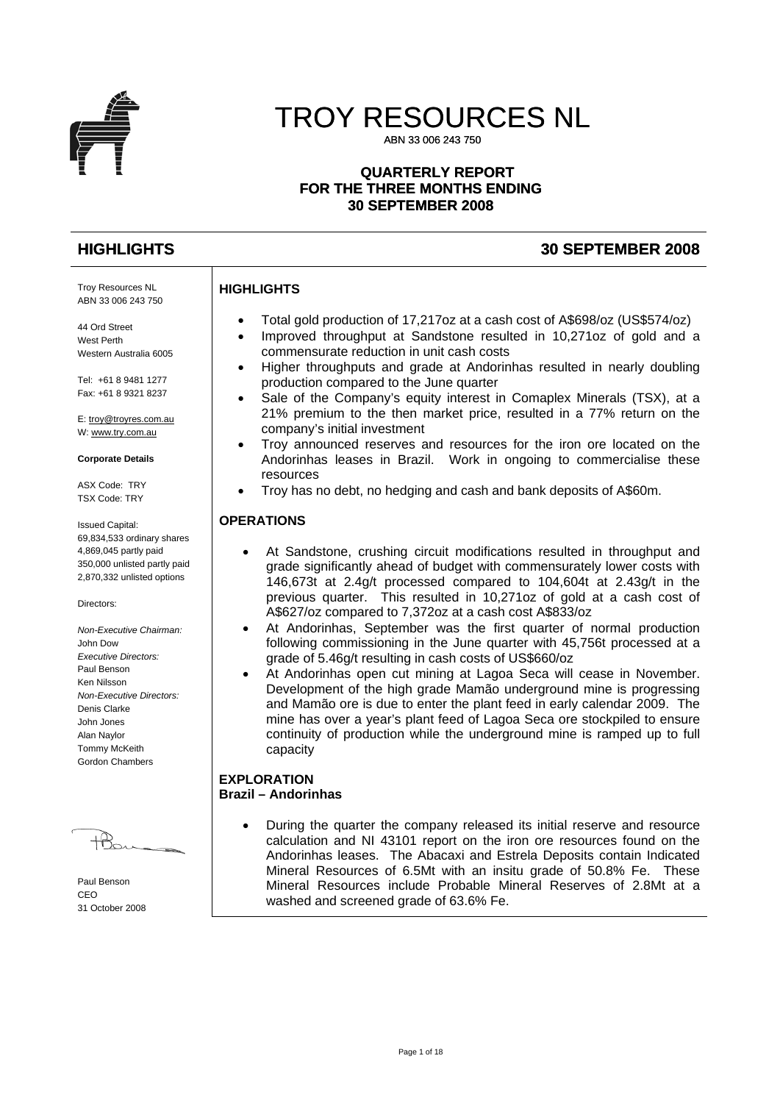

# TROY RESOURCES NL

ABN 33 006 243 750

#### **QUARTERLY REPORT FOR THE THREE MONTHS ENDING 30 SEPTEMBER 2008**

### **HIGHLIGHTS 30 SEPTEMBER 2008**

Troy Resources NL ABN 33 006 243 750

44 Ord Street West Perth Western Australia 6005

Tel: +61 8 9481 1277 Fax: +61 8 9321 8237

E: [troy@troyres.com.au](mailto:troy@troyres.com.au) W: [www.try.com.au](http://www.try.com.au/)

#### **Corporate Details**

ASX Code: TRY TSX Code: TRY

Issued Capital: 69,834,533 ordinary shares 4,869,045 partly paid 350,000 unlisted partly paid 2,870,332 unlisted options

Directors:

*Non-Executive Chairman:*  John Dow *Executive Directors:*  Paul Benson Ken Nilsson *Non-Executive Directors:*  Denis Clarke John Jones Alan Naylor Tommy McKeith Gordon Chambers

 $\mathcal{H}_{\infty}$ 

Paul Benson CEO 31 October 2008

#### **HIGHLIGHTS**

- Total gold production of 17,217oz at a cash cost of A\$698/oz (US\$574/oz)
- Improved throughput at Sandstone resulted in 10,271oz of gold and a commensurate reduction in unit cash costs
- Higher throughputs and grade at Andorinhas resulted in nearly doubling production compared to the June quarter
- Sale of the Company's equity interest in Comaplex Minerals (TSX), at a 21% premium to the then market price, resulted in a 77% return on the company's initial investment
- Troy announced reserves and resources for the iron ore located on the Andorinhas leases in Brazil. Work in ongoing to commercialise these resources
- Troy has no debt, no hedging and cash and bank deposits of A\$60m.

#### **OPERATIONS**

- At Sandstone, crushing circuit modifications resulted in throughput and grade significantly ahead of budget with commensurately lower costs with 146,673t at 2.4g/t processed compared to 104,604t at 2.43g/t in the previous quarter. This resulted in 10,271oz of gold at a cash cost of A\$627/oz compared to 7,372oz at a cash cost A\$833/oz
- At Andorinhas, September was the first quarter of normal production following commissioning in the June quarter with 45,756t processed at a grade of 5.46g/t resulting in cash costs of US\$660/oz
- At Andorinhas open cut mining at Lagoa Seca will cease in November. Development of the high grade Mamão underground mine is progressing and Mamão ore is due to enter the plant feed in early calendar 2009. The mine has over a year's plant feed of Lagoa Seca ore stockpiled to ensure continuity of production while the underground mine is ramped up to full capacity

#### **EXPLORATION Brazil – Andorinhas**

• During the quarter the company released its initial reserve and resource calculation and NI 43101 report on the iron ore resources found on the Andorinhas leases. The Abacaxi and Estrela Deposits contain Indicated Mineral Resources of 6.5Mt with an insitu grade of 50.8% Fe. These Mineral Resources include Probable Mineral Reserves of 2.8Mt at a washed and screened grade of 63.6% Fe.

Page 1 of 18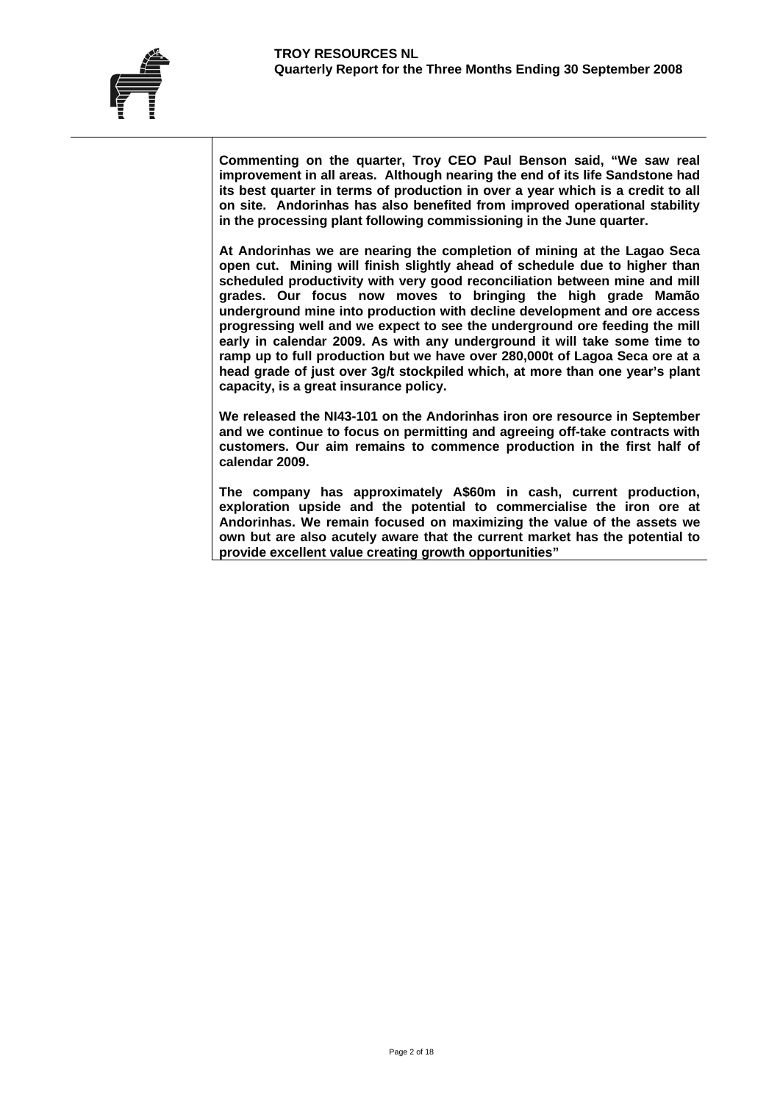**Commenting on the quarter, Troy CEO Paul Benson said, "We saw real improvement in all areas. Although nearing the end of its life Sandstone had its best quarter in terms of production in over a year which is a credit to all on site. Andorinhas has also benefited from improved operational stability in the processing plant following commissioning in the June quarter.** 

**At Andorinhas we are nearing the completion of mining at the Lagao Seca open cut. Mining will finish slightly ahead of schedule due to higher than scheduled productivity with very good reconciliation between mine and mill grades. Our focus now moves to bringing the high grade Mamão underground mine into production with decline development and ore access progressing well and we expect to see the underground ore feeding the mill early in calendar 2009. As with any underground it will take some time to ramp up to full production but we have over 280,000t of Lagoa Seca ore at a head grade of just over 3g/t stockpiled which, at more than one year's plant capacity, is a great insurance policy.** 

**We released the NI43-101 on the Andorinhas iron ore resource in September and we continue to focus on permitting and agreeing off-take contracts with customers. Our aim remains to commence production in the first half of calendar 2009.** 

**The company has approximately A\$60m in cash, current production, exploration upside and the potential to commercialise the iron ore at Andorinhas. We remain focused on maximizing the value of the assets we own but are also acutely aware that the current market has the potential to provide excellent value creating growth opportunities"**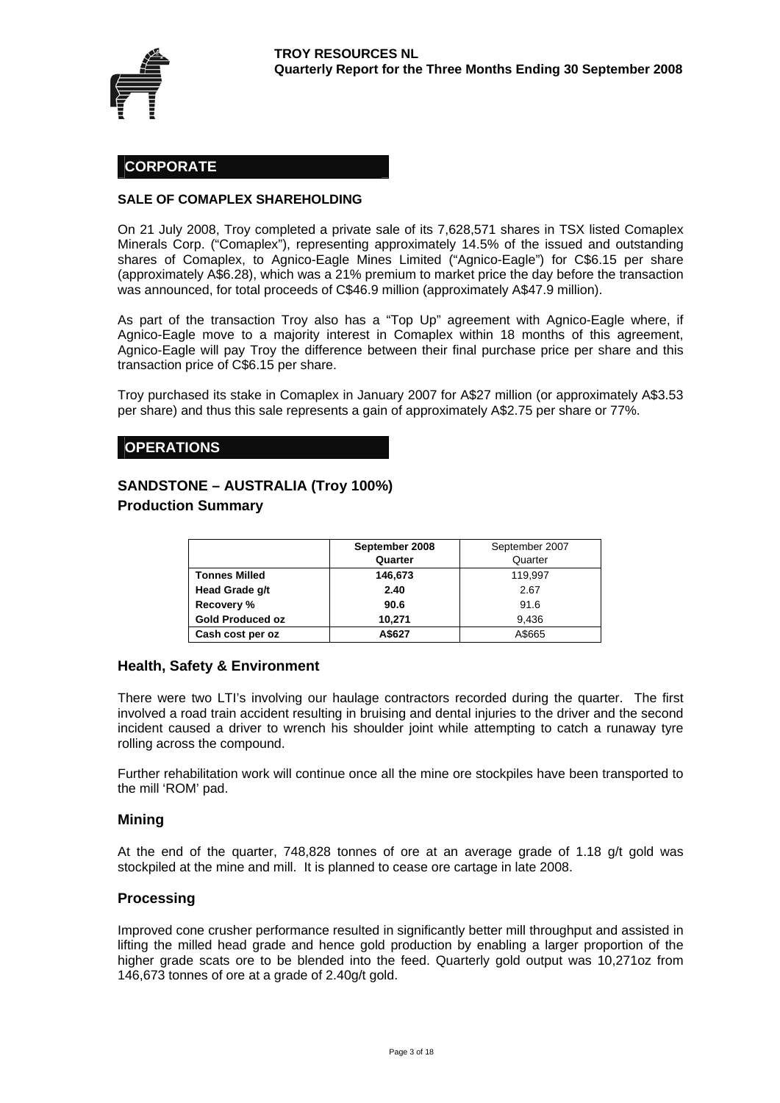

#### **CORPORATE**

#### **SALE OF COMAPLEX SHAREHOLDING**

On 21 July 2008, Troy completed a private sale of its 7,628,571 shares in TSX listed Comaplex Minerals Corp. ("Comaplex"), representing approximately 14.5% of the issued and outstanding shares of Comaplex, to Agnico-Eagle Mines Limited ("Agnico-Eagle") for C\$6.15 per share (approximately A\$6.28), which was a 21% premium to market price the day before the transaction was announced, for total proceeds of C\$46.9 million (approximately A\$47.9 million).

As part of the transaction Troy also has a "Top Up" agreement with Agnico-Eagle where, if Agnico-Eagle move to a majority interest in Comaplex within 18 months of this agreement, Agnico-Eagle will pay Troy the difference between their final purchase price per share and this transaction price of C\$6.15 per share.

Troy purchased its stake in Comaplex in January 2007 for A\$27 million (or approximately A\$3.53 per share) and thus this sale represents a gain of approximately A\$2.75 per share or 77%.

#### **OPERATIONS**

## **SANDSTONE – AUSTRALIA (Troy 100%)**

#### **Production Summary**

|                         | September 2008 | September 2007 |
|-------------------------|----------------|----------------|
|                         | Quarter        | Quarter        |
| <b>Tonnes Milled</b>    | 146,673        | 119,997        |
| Head Grade g/t          | 2.40           | 2.67           |
| Recovery %              | 90.6           | 91.6           |
| <b>Gold Produced oz</b> | 10.271         | 9.436          |
| Cash cost per oz        | A\$627         | A\$665         |

#### **Health, Safety & Environment**

There were two LTI's involving our haulage contractors recorded during the quarter. The first involved a road train accident resulting in bruising and dental injuries to the driver and the second incident caused a driver to wrench his shoulder joint while attempting to catch a runaway tyre rolling across the compound.

Further rehabilitation work will continue once all the mine ore stockpiles have been transported to the mill 'ROM' pad.

#### **Mining**

At the end of the quarter, 748,828 tonnes of ore at an average grade of 1.18 g/t gold was stockpiled at the mine and mill. It is planned to cease ore cartage in late 2008.

#### **Processing**

Improved cone crusher performance resulted in significantly better mill throughput and assisted in lifting the milled head grade and hence gold production by enabling a larger proportion of the higher grade scats ore to be blended into the feed. Quarterly gold output was 10,271oz from 146,673 tonnes of ore at a grade of 2.40g/t gold.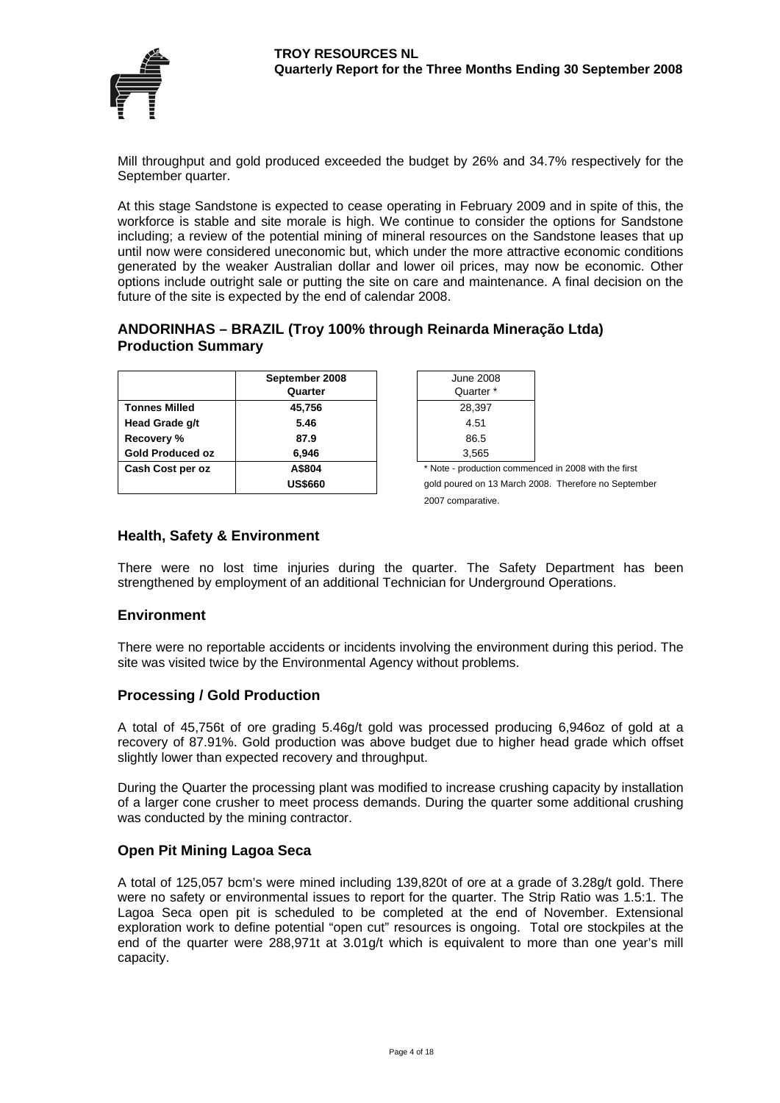

Mill throughput and gold produced exceeded the budget by 26% and 34.7% respectively for the September quarter.

At this stage Sandstone is expected to cease operating in February 2009 and in spite of this, the workforce is stable and site morale is high. We continue to consider the options for Sandstone including; a review of the potential mining of mineral resources on the Sandstone leases that up until now were considered uneconomic but, which under the more attractive economic conditions generated by the weaker Australian dollar and lower oil prices, may now be economic. Other options include outright sale or putting the site on care and maintenance. A final decision on the future of the site is expected by the end of calendar 2008.

#### **ANDORINHAS – BRAZIL (Troy 100% through Reinarda Mineração Ltda) Production Summary**

|                         | September 2008<br>Quarter | <b>June 200</b><br>Quarter |
|-------------------------|---------------------------|----------------------------|
|                         |                           |                            |
| <b>Tonnes Milled</b>    | 45,756                    | 28,397                     |
| Head Grade g/t          | 5.46                      | 4.51                       |
| Recovery %              | 87.9                      | 86.5                       |
| <b>Gold Produced oz</b> | 6.946                     | 3,565                      |
| Cash Cost per oz        | A\$804                    | * Note - productic         |
|                         | <b>US\$660</b>            | gold poured on 1           |

| June 2008.                    |  |
|-------------------------------|--|
| Quarter *                     |  |
| 28,397                        |  |
| 4.51                          |  |
| 86.5                          |  |
| 3,565                         |  |
| * Note - production commenced |  |
|                               |  |

gold poured on 13 March 2008. Therefore no September 2007 comparative.

in 2008 with the first

#### **Health, Safety & Environment**

There were no lost time injuries during the quarter. The Safety Department has been strengthened by employment of an additional Technician for Underground Operations.

#### **Environment**

There were no reportable accidents or incidents involving the environment during this period. The site was visited twice by the Environmental Agency without problems.

#### **Processing / Gold Production**

A total of 45,756t of ore grading 5.46g/t gold was processed producing 6,946oz of gold at a recovery of 87.91%. Gold production was above budget due to higher head grade which offset slightly lower than expected recovery and throughput.

During the Quarter the processing plant was modified to increase crushing capacity by installation of a larger cone crusher to meet process demands. During the quarter some additional crushing was conducted by the mining contractor.

#### **Open Pit Mining Lagoa Seca**

A total of 125,057 bcm's were mined including 139,820t of ore at a grade of 3.28g/t gold. There were no safety or environmental issues to report for the quarter. The Strip Ratio was 1.5:1. The Lagoa Seca open pit is scheduled to be completed at the end of November. Extensional exploration work to define potential "open cut" resources is ongoing. Total ore stockpiles at the end of the quarter were 288,971t at 3.01g/t which is equivalent to more than one year's mill capacity.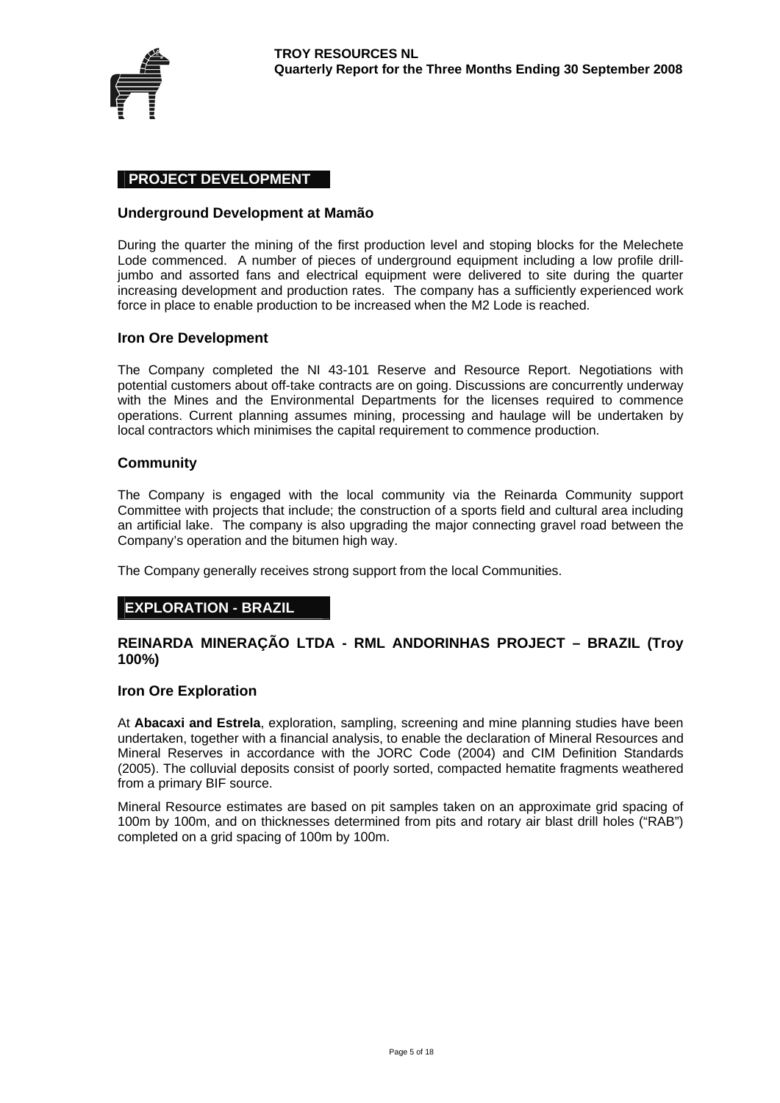

#### **PROJECT DEVELOPMENT**

#### **Underground Development at Mamão**

During the quarter the mining of the first production level and stoping blocks for the Melechete Lode commenced. A number of pieces of underground equipment including a low profile drilljumbo and assorted fans and electrical equipment were delivered to site during the quarter increasing development and production rates. The company has a sufficiently experienced work force in place to enable production to be increased when the M2 Lode is reached.

#### **Iron Ore Development**

The Company completed the NI 43-101 Reserve and Resource Report. Negotiations with potential customers about off-take contracts are on going. Discussions are concurrently underway with the Mines and the Environmental Departments for the licenses required to commence operations. Current planning assumes mining, processing and haulage will be undertaken by local contractors which minimises the capital requirement to commence production.

#### **Community**

The Company is engaged with the local community via the Reinarda Community support Committee with projects that include; the construction of a sports field and cultural area including an artificial lake. The company is also upgrading the major connecting gravel road between the Company's operation and the bitumen high way.

The Company generally receives strong support from the local Communities.

#### **EXPLORATION - BRAZIL**

#### **REINARDA MINERAÇÃO LTDA - RML ANDORINHAS PROJECT – BRAZIL (Troy 100%)**

#### **Iron Ore Exploration**

At **Abacaxi and Estrela**, exploration, sampling, screening and mine planning studies have been undertaken, together with a financial analysis, to enable the declaration of Mineral Resources and Mineral Reserves in accordance with the JORC Code (2004) and CIM Definition Standards (2005). The colluvial deposits consist of poorly sorted, compacted hematite fragments weathered from a primary BIF source.

Mineral Resource estimates are based on pit samples taken on an approximate grid spacing of 100m by 100m, and on thicknesses determined from pits and rotary air blast drill holes ("RAB") completed on a grid spacing of 100m by 100m.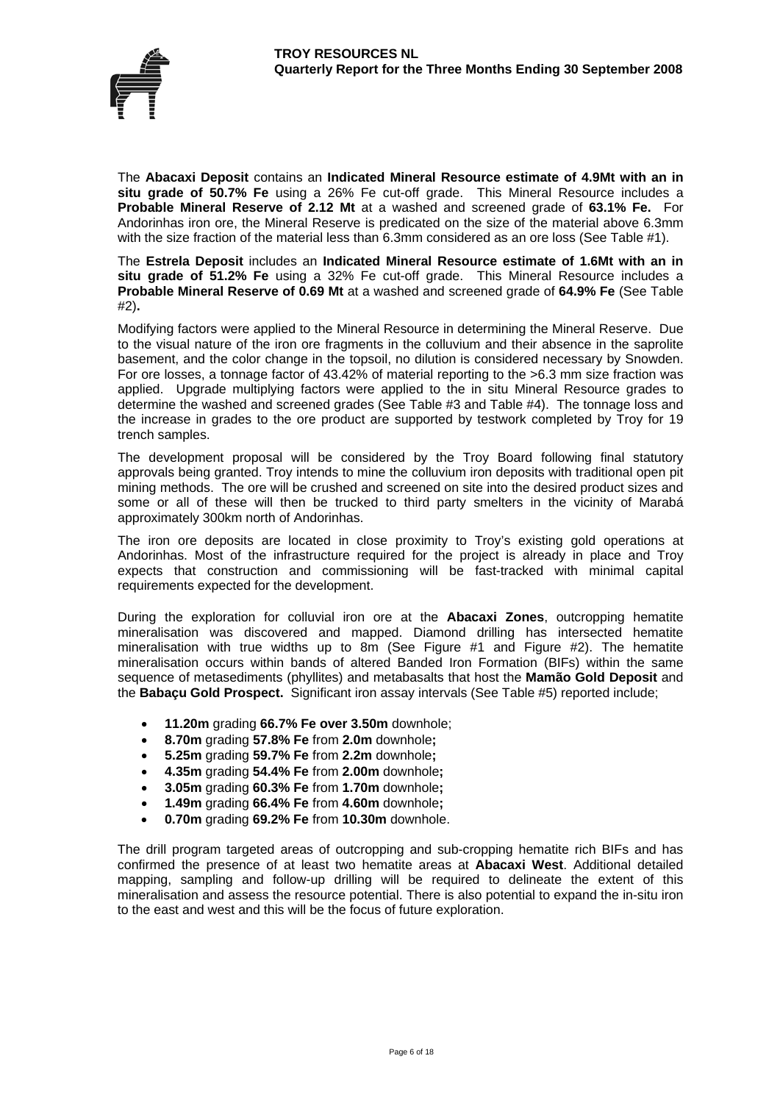

The **Abacaxi Deposit** contains an **Indicated Mineral Resource estimate of 4.9Mt with an in situ grade of 50.7% Fe** using a 26% Fe cut-off grade. This Mineral Resource includes a **Probable Mineral Reserve of 2.12 Mt** at a washed and screened grade of **63.1% Fe.** For Andorinhas iron ore, the Mineral Reserve is predicated on the size of the material above 6.3mm with the size fraction of the material less than 6.3mm considered as an ore loss (See Table #1).

The **Estrela Deposit** includes an **Indicated Mineral Resource estimate of 1.6Mt with an in situ grade of 51.2% Fe** using a 32% Fe cut-off grade. This Mineral Resource includes a **Probable Mineral Reserve of 0.69 Mt** at a washed and screened grade of **64.9% Fe** (See Table #2)**.** 

Modifying factors were applied to the Mineral Resource in determining the Mineral Reserve. Due to the visual nature of the iron ore fragments in the colluvium and their absence in the saprolite basement, and the color change in the topsoil, no dilution is considered necessary by Snowden. For ore losses, a tonnage factor of 43.42% of material reporting to the >6.3 mm size fraction was applied. Upgrade multiplying factors were applied to the in situ Mineral Resource grades to determine the washed and screened grades (See Table #3 and Table #4). The tonnage loss and the increase in grades to the ore product are supported by testwork completed by Troy for 19 trench samples.

The development proposal will be considered by the Troy Board following final statutory approvals being granted. Troy intends to mine the colluvium iron deposits with traditional open pit mining methods. The ore will be crushed and screened on site into the desired product sizes and some or all of these will then be trucked to third party smelters in the vicinity of Marabá approximately 300km north of Andorinhas.

The iron ore deposits are located in close proximity to Troy's existing gold operations at Andorinhas. Most of the infrastructure required for the project is already in place and Troy expects that construction and commissioning will be fast-tracked with minimal capital requirements expected for the development.

During the exploration for colluvial iron ore at the **Abacaxi Zones**, outcropping hematite mineralisation was discovered and mapped. Diamond drilling has intersected hematite mineralisation with true widths up to 8m (See Figure #1 and Figure #2). The hematite mineralisation occurs within bands of altered Banded Iron Formation (BIFs) within the same sequence of metasediments (phyllites) and metabasalts that host the **Mamão Gold Deposit** and the **Babaçu Gold Prospect.** Significant iron assay intervals (See Table #5) reported include;

- **11.20m** grading **66.7% Fe over 3.50m** downhole;
- **8.70m** grading **57.8% Fe** from **2.0m** downhole**;**
- **5.25m** grading **59.7% Fe** from **2.2m** downhole**;**
- **4.35m** grading **54.4% Fe** from **2.00m** downhole**;**
- **3.05m** grading **60.3% Fe** from **1.70m** downhole**;**
- **1.49m** grading **66.4% Fe** from **4.60m** downhole**;**
- **0.70m** grading **69.2% Fe** from **10.30m** downhole.

The drill program targeted areas of outcropping and sub-cropping hematite rich BIFs and has confirmed the presence of at least two hematite areas at **Abacaxi West**. Additional detailed mapping, sampling and follow-up drilling will be required to delineate the extent of this mineralisation and assess the resource potential. There is also potential to expand the in-situ iron to the east and west and this will be the focus of future exploration.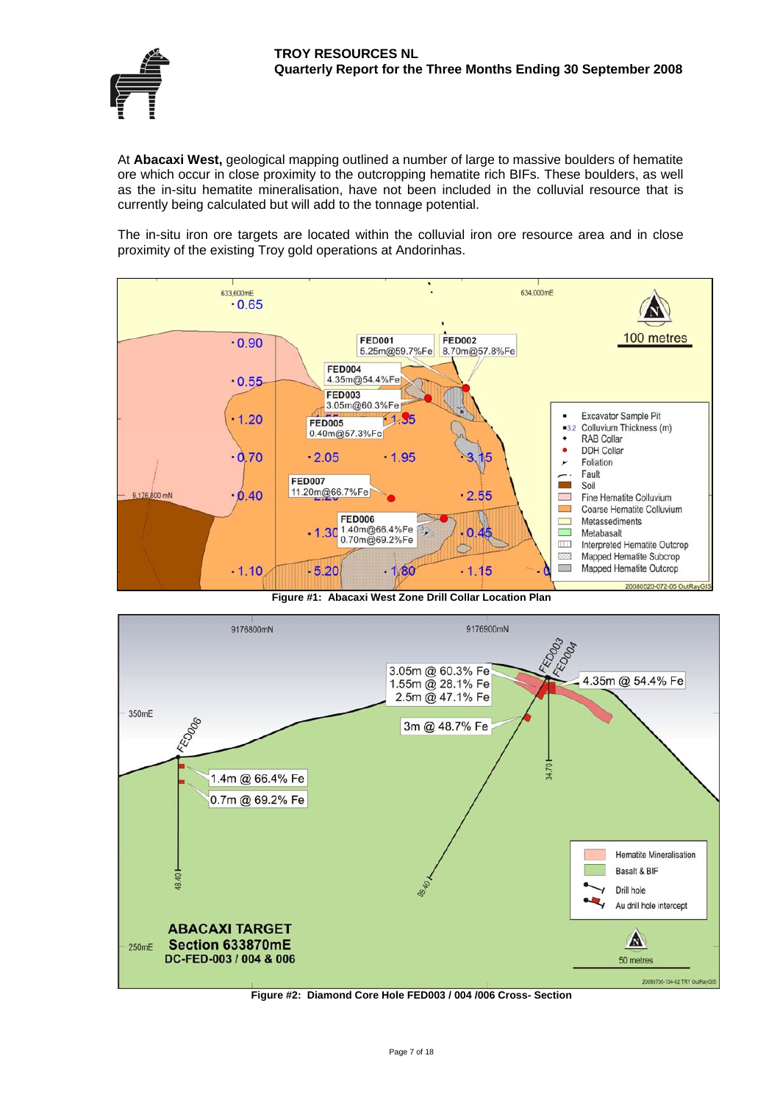

At **Abacaxi West,** geological mapping outlined a number of large to massive boulders of hematite ore which occur in close proximity to the outcropping hematite rich BIFs. These boulders, as well as the in-situ hematite mineralisation, have not been included in the colluvial resource that is currently being calculated but will add to the tonnage potential.

The in-situ iron ore targets are located within the colluvial iron ore resource area and in close proximity of the existing Troy gold operations at Andorinhas.







**Figure #2: Diamond Core Hole FED003 / 004 /006 Cross- Section**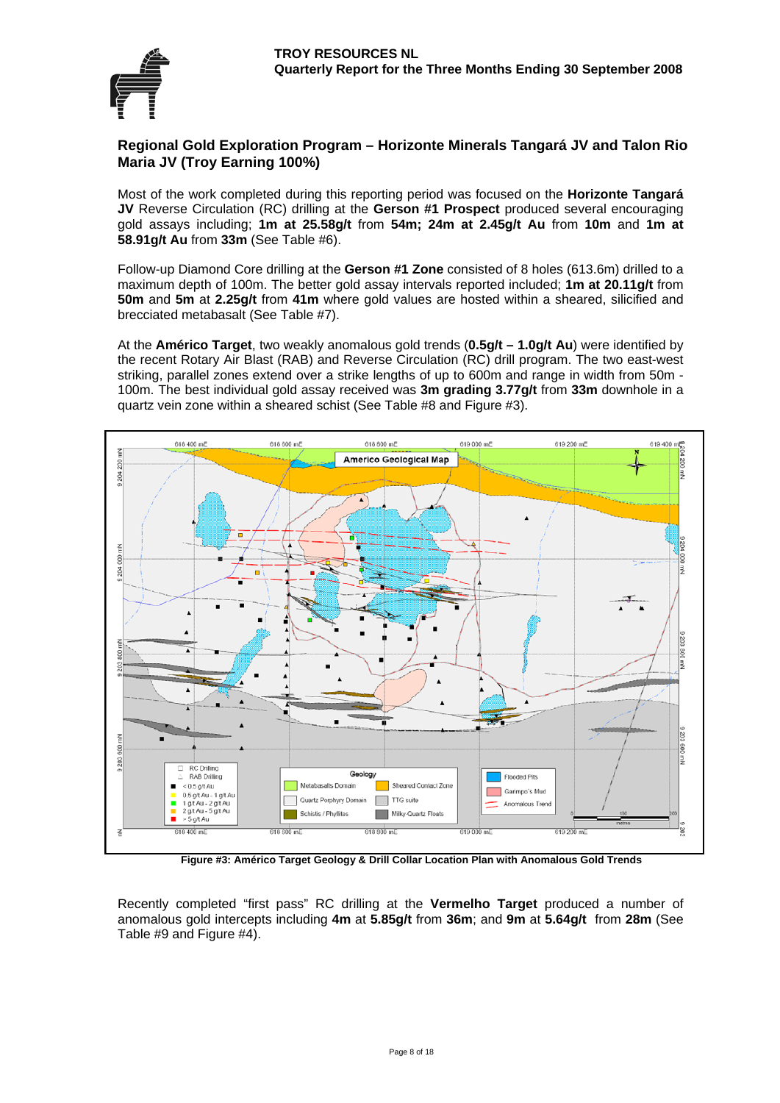

#### **Regional Gold Exploration Program – Horizonte Minerals Tangará JV and Talon Rio Maria JV (Troy Earning 100%)**

Most of the work completed during this reporting period was focused on the **Horizonte Tangará JV** Reverse Circulation (RC) drilling at the **Gerson #1 Prospect** produced several encouraging gold assays including; **1m at 25.58g/t** from **54m; 24m at 2.45g/t Au** from **10m** and **1m at 58.91g/t Au** from **33m** (See Table #6).

Follow-up Diamond Core drilling at the **Gerson #1 Zone** consisted of 8 holes (613.6m) drilled to a maximum depth of 100m. The better gold assay intervals reported included; **1m at 20.11g/t** from **50m** and **5m** at **2.25g/t** from **41m** where gold values are hosted within a sheared, silicified and brecciated metabasalt (See Table #7).

At the **Américo Target**, two weakly anomalous gold trends (**0.5g/t – 1.0g/t Au**) were identified by the recent Rotary Air Blast (RAB) and Reverse Circulation (RC) drill program. The two east-west striking, parallel zones extend over a strike lengths of up to 600m and range in width from 50m - 100m. The best individual gold assay received was **3m grading 3.77g/t** from **33m** downhole in a quartz vein zone within a sheared schist (See Table #8 and Figure #3).



**Figure #3: Américo Target Geology & Drill Collar Location Plan with Anomalous Gold Trends**

Recently completed "first pass" RC drilling at the **Vermelho Target** produced a number of anomalous gold intercepts including **4m** at **5.85g/t** from **36m**; and **9m** at **5.64g/t** from **28m** (See Table #9 and Figure #4).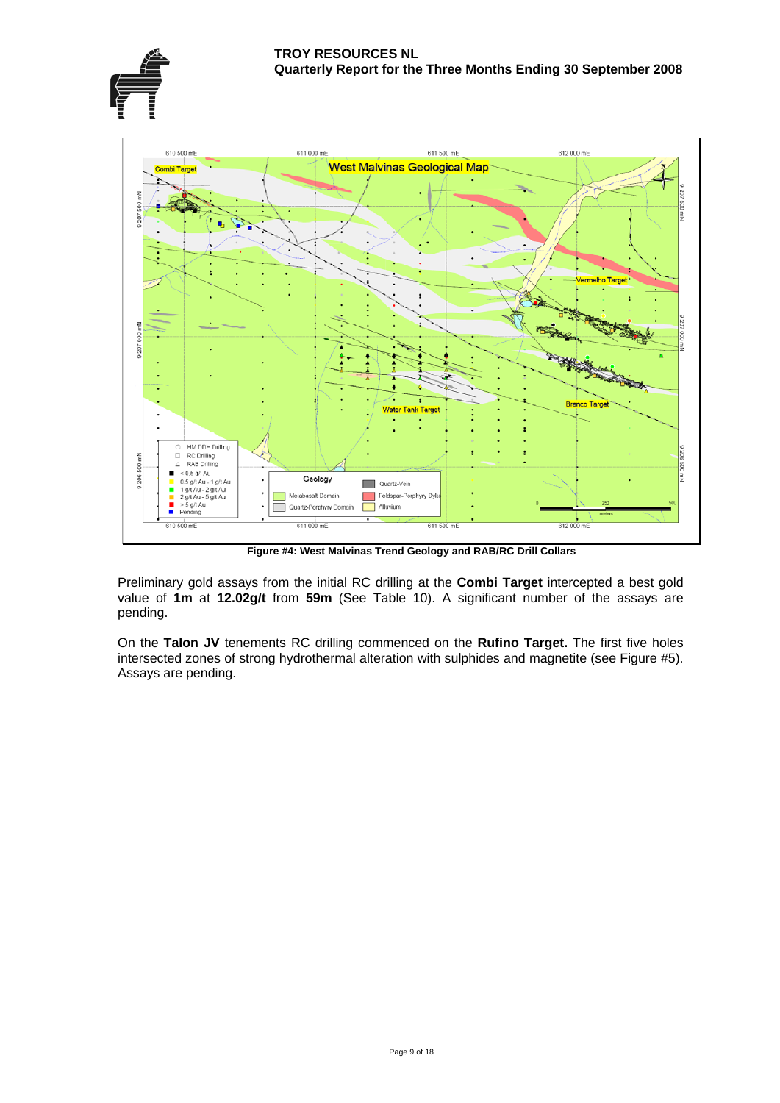





**Figure #4: West Malvinas Trend Geology and RAB/RC Drill Collars** 

Preliminary gold assays from the initial RC drilling at the **Combi Target** intercepted a best gold value of **1m** at **12.02g/t** from **59m** (See Table 10). A significant number of the assays are pending.

On the **Talon JV** tenements RC drilling commenced on the **Rufino Target.** The first five holes intersected zones of strong hydrothermal alteration with sulphides and magnetite (see Figure #5). Assays are pending.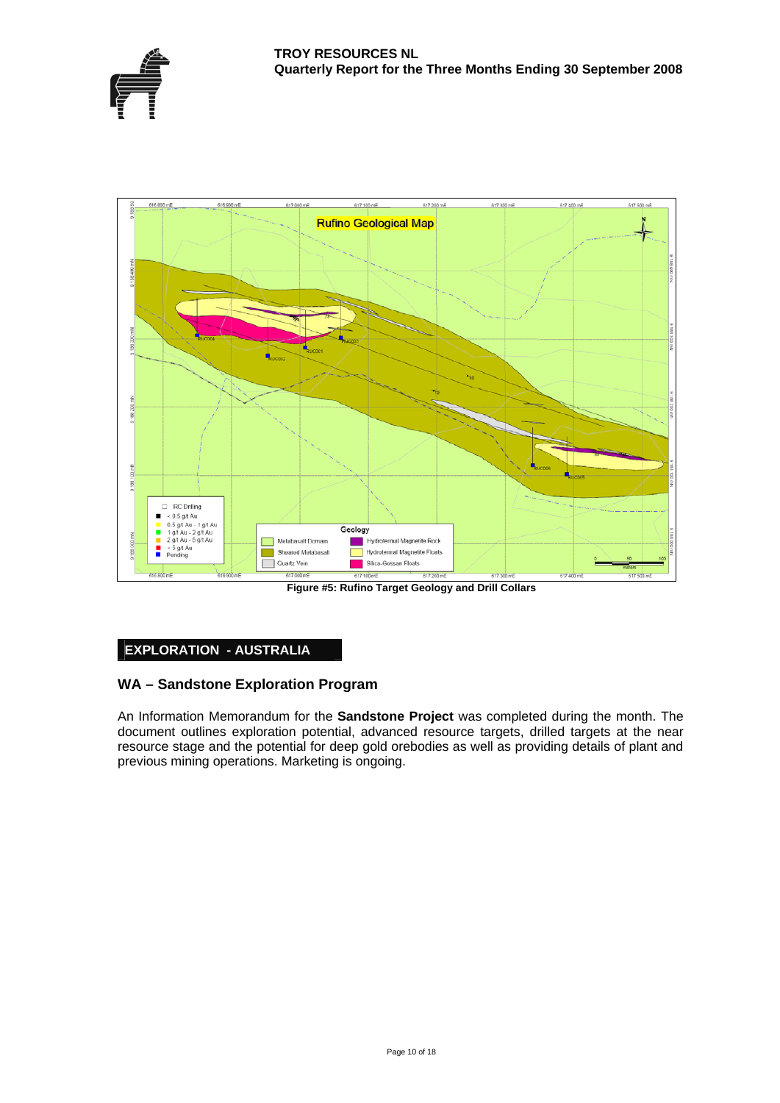

**Figure #5: Rufino Target Geology and Drill Collars** 

#### **EXPLORATION - AUSTRALIA**

#### **A – Sandstone Exploration Program W**

An Information Memorandum for the **Sandstone Project** was completed during the month. The document outlines exploration potential, advanced resource targets, drilled targets at the near resource stage and the potential for deep gold orebodies as well as providing details of plant and previous mining operations. Marketing is ongoing.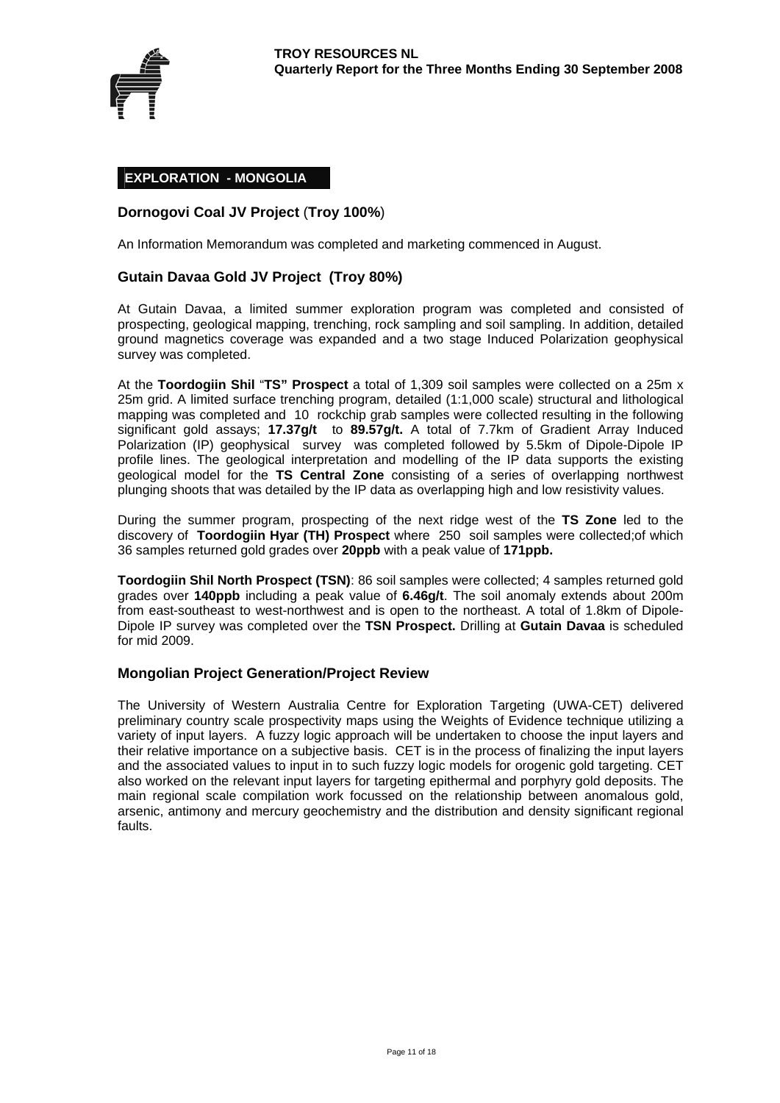

#### **EXPLORATION - MONGOLIA**

#### **Dornogovi Coal JV Project** (**Troy 100%**)

An Information Memorandum was completed and marketing commenced in August.

#### **Gutain Davaa Gold JV Project (Troy 80%)**

At Gutain Davaa, a limited summer exploration program was completed and consisted of prospecting, geological mapping, trenching, rock sampling and soil sampling. In addition, detailed ground magnetics coverage was expanded and a two stage Induced Polarization geophysical survey was completed.

At the **Toordogiin Shil** "**TS" Prospect** a total of 1,309 soil samples were collected on a 25m x 25m grid. A limited surface trenching program, detailed (1:1,000 scale) structural and lithological mapping was completed and 10 rockchip grab samples were collected resulting in the following significant gold assays; **17.37g/t** to **89.57g/t.** A total of 7.7km of Gradient Array Induced Polarization (IP) geophysical survey was completed followed by 5.5km of Dipole-Dipole IP profile lines. The geological interpretation and modelling of the IP data supports the existing geological model for the **TS Central Zone** consisting of a series of overlapping northwest plunging shoots that was detailed by the IP data as overlapping high and low resistivity values.

During the summer program, prospecting of the next ridge west of the **TS Zone** led to the discovery of **Toordogiin Hyar (TH) Prospect** where 250 soil samples were collected;of which 36 samples returned gold grades over **20ppb** with a peak value of **171ppb.** 

**Toordogiin Shil North Prospect (TSN)**: 86 soil samples were collected; 4 samples returned gold grades over **140ppb** including a peak value of **6.46g/t**. The soil anomaly extends about 200m from east-southeast to west-northwest and is open to the northeast. A total of 1.8km of Dipole-Dipole IP survey was completed over the **TSN Prospect.** Drilling at **Gutain Davaa** is scheduled for mid 2009.

#### **Mongolian Project Generation/Project Review**

The University of Western Australia Centre for Exploration Targeting (UWA-CET) delivered preliminary country scale prospectivity maps using the Weights of Evidence technique utilizing a variety of input layers. A fuzzy logic approach will be undertaken to choose the input layers and their relative importance on a subjective basis. CET is in the process of finalizing the input layers and the associated values to input in to such fuzzy logic models for orogenic gold targeting. CET also worked on the relevant input layers for targeting epithermal and porphyry gold deposits. The main regional scale compilation work focussed on the relationship between anomalous gold, arsenic, antimony and mercury geochemistry and the distribution and density significant regional faults.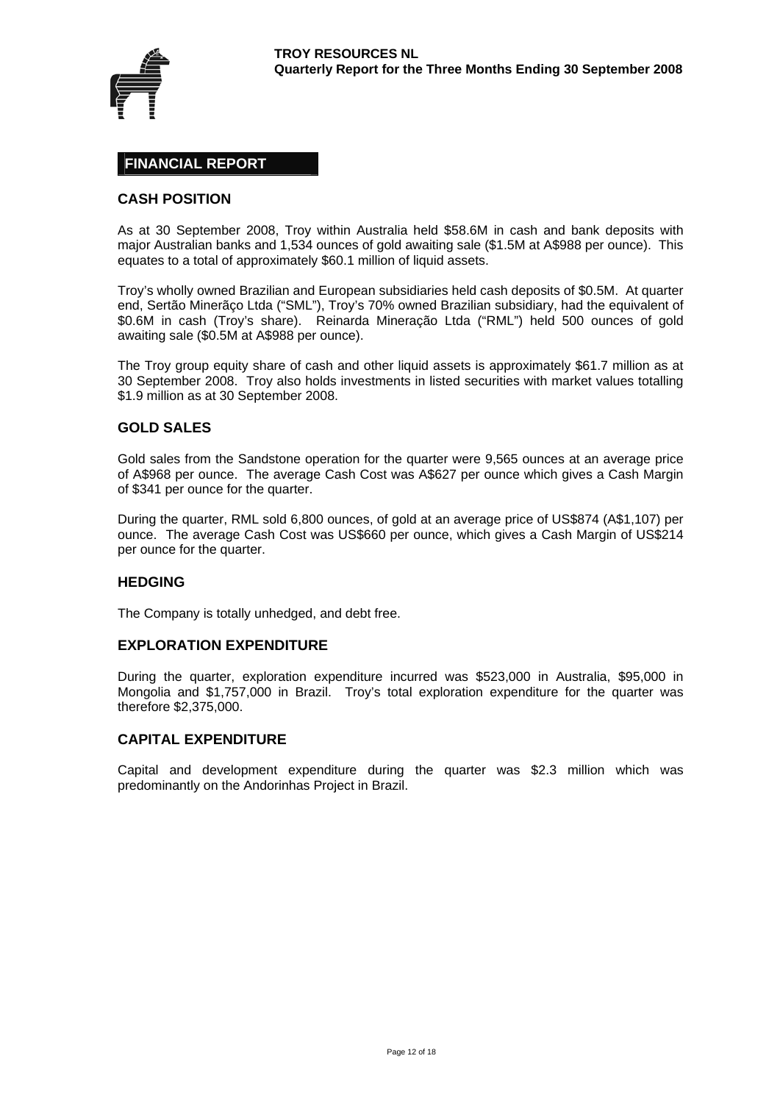

#### **FINANCIAL REPORT**

#### **CASH POSITION**

As at 30 September 2008, Troy within Australia held \$58.6M in cash and bank deposits with major Australian banks and 1,534 ounces of gold awaiting sale (\$1.5M at A\$988 per ounce). This equates to a total of approximately \$60.1 million of liquid assets.

Troy's wholly owned Brazilian and European subsidiaries held cash deposits of \$0.5M. At quarter end, Sertão Minerãço Ltda ("SML"), Troy's 70% owned Brazilian subsidiary, had the equivalent of \$0.6M in cash (Troy's share). Reinarda Mineração Ltda ("RML") held 500 ounces of gold awaiting sale (\$0.5M at A\$988 per ounce).

The Troy group equity share of cash and other liquid assets is approximately \$61.7 million as at 30 September 2008. Troy also holds investments in listed securities with market values totalling \$1.9 million as at 30 September 2008.

#### **GOLD SALES**

Gold sales from the Sandstone operation for the quarter were 9,565 ounces at an average price of A\$968 per ounce. The average Cash Cost was A\$627 per ounce which gives a Cash Margin of \$341 per ounce for the quarter.

During the quarter, RML sold 6,800 ounces, of gold at an average price of US\$874 (A\$1,107) per ounce. The average Cash Cost was US\$660 per ounce, which gives a Cash Margin of US\$214 per ounce for the quarter.

#### **HEDGING**

The Company is totally unhedged, and debt free.

#### **EXPLORATION EXPENDITURE**

During the quarter, exploration expenditure incurred was \$523,000 in Australia, \$95,000 in Mongolia and \$1,757,000 in Brazil. Troy's total exploration expenditure for the quarter was therefore \$2,375,000.

#### **CAPITAL EXPENDITURE**

Capital and development expenditure during the quarter was \$2.3 million which was predominantly on the Andorinhas Project in Brazil.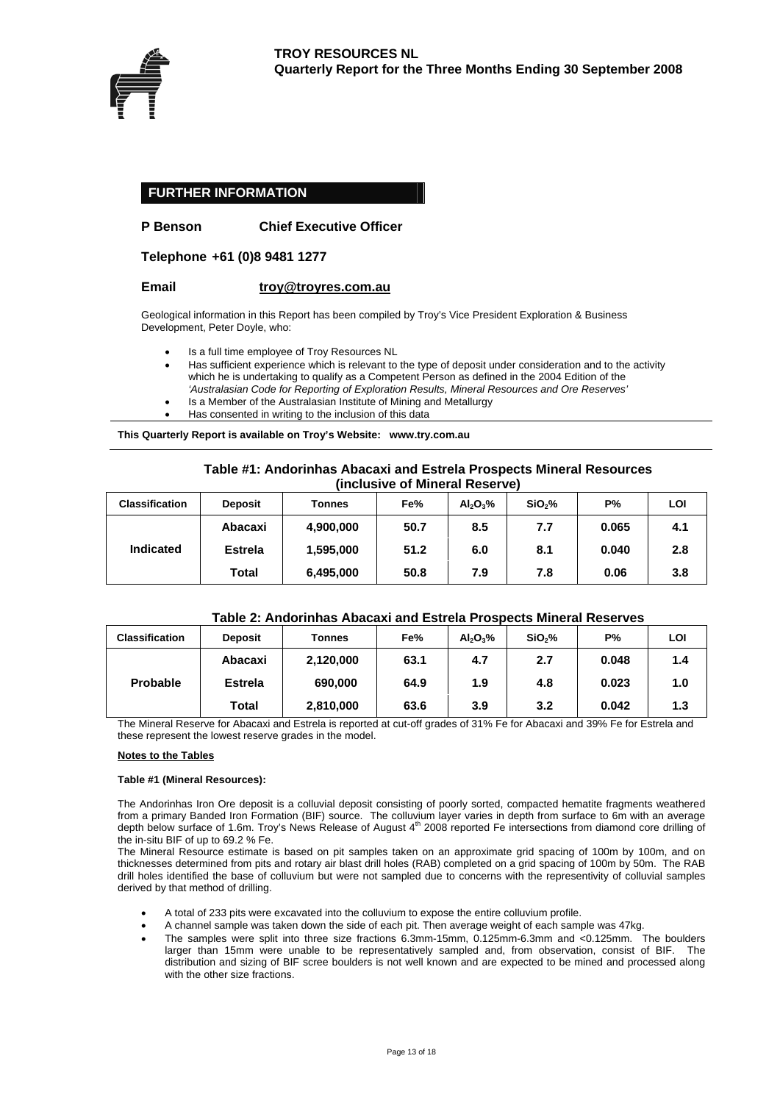

#### **FURTHER INFORMATION**

#### **P Benson Chief Executive Officer**

**Telephone +61 (0)8 9481 1277** 

#### **Email [troy@troyres.com.au](mailto:troy@troyres.com.au)**

Geological information in this Report has been compiled by Troy's Vice President Exploration & Business Development, Peter Doyle, who:

- Is a full time employee of Troy Resources NL
- Has sufficient experience which is relevant to the type of deposit under consideration and to the activity which he is undertaking to qualify as a Competent Person as defined in the 2004 Edition of the *'Australasian Code for Reporting of Exploration Results, Mineral Resources and Ore Reserves'*
- Is a Member of the Australasian Institute of Mining and Metallurgy
- Has consented in writing to the inclusion of this data

**This Quarterly Report is available on Troy's Website: www.try.com.au** 

#### **Table #1: Andorinhas Abacaxi and Estrela Prospects Mineral Resources (inclusive of Mineral Reserve)**

| <b>Classification</b> | <b>Deposit</b> | <b>Tonnes</b> | Fe%  | $Al_2O_3\%$ | SiO <sub>2</sub> % | <b>P%</b> | LOI |
|-----------------------|----------------|---------------|------|-------------|--------------------|-----------|-----|
| <b>Indicated</b>      | Abacaxi        | 4,900,000     | 50.7 | 8.5         | 7.7                | 0.065     | 4.1 |
|                       | <b>Estrela</b> | 1,595,000     | 51.2 | 6.0         | 8.1                | 0.040     | 2.8 |
|                       | Total          | 6,495,000     | 50.8 | 7.9         | 7.8                | 0.06      | 3.8 |

#### **Table 2: Andorinhas Abacaxi and Estrela Prospects Mineral Reserves**

| <b>Classification</b> | <b>Deposit</b> | <b>Tonnes</b> | Fe%  | $Al_2O_3\%$ | SiO <sub>2</sub> % | <b>P%</b> | LOI |
|-----------------------|----------------|---------------|------|-------------|--------------------|-----------|-----|
| Probable              | Abacaxi        | 2,120,000     | 63.1 | 4.7         | 2.7                | 0.048     | 1.4 |
|                       | <b>Estrela</b> | 690,000       | 64.9 | 1.9         | 4.8                | 0.023     | 1.0 |
|                       | Total          | 2,810,000     | 63.6 | 3.9         | 3.2                | 0.042     | 1.3 |

The Mineral Reserve for Abacaxi and Estrela is reported at cut-off grades of 31% Fe for Abacaxi and 39% Fe for Estrela and these represent the lowest reserve grades in the model.

#### **Notes to the Tables**

#### **Table #1 (Mineral Resources):**

The Andorinhas Iron Ore deposit is a colluvial deposit consisting of poorly sorted, compacted hematite fragments weathered from a primary Banded Iron Formation (BIF) source. The colluvium layer varies in depth from surface to 6m with an average depth below surface of 1.6m. Troy's News Release of August 4th 2008 reported Fe intersections from diamond core drilling of the in-situ BIF of up to 69.2 % Fe.

The Mineral Resource estimate is based on pit samples taken on an approximate grid spacing of 100m by 100m, and on thicknesses determined from pits and rotary air blast drill holes (RAB) completed on a grid spacing of 100m by 50m. The RAB drill holes identified the base of colluvium but were not sampled due to concerns with the representivity of colluvial samples derived by that method of drilling.

- A total of 233 pits were excavated into the colluvium to expose the entire colluvium profile.
- A channel sample was taken down the side of each pit. Then average weight of each sample was 47kg.
- The samples were split into three size fractions 6.3mm-15mm, 0.125mm-6.3mm and <0.125mm. The boulders larger than 15mm were unable to be representatively sampled and, from observation, consist of BIF. The distribution and sizing of BIF scree boulders is not well known and are expected to be mined and processed along with the other size fractions.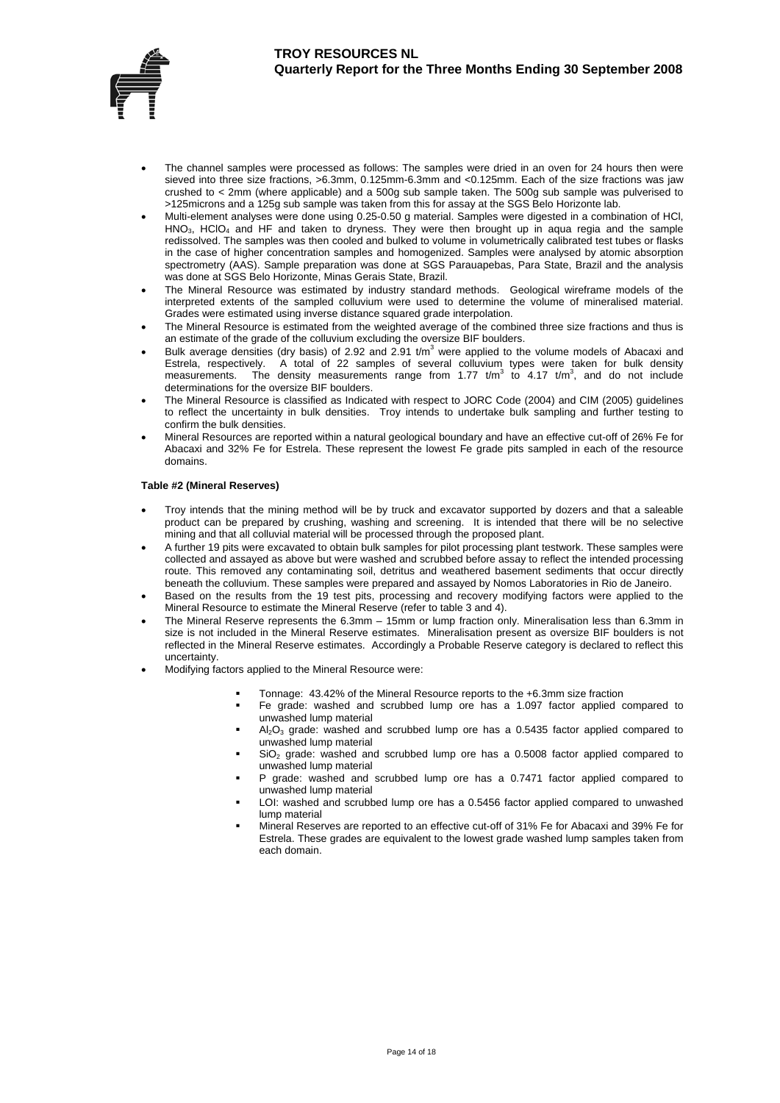

- The channel samples were processed as follows: The samples were dried in an oven for 24 hours then were sieved into three size fractions, >6.3mm, 0.125mm-6.3mm and <0.125mm. Each of the size fractions was jaw crushed to < 2mm (where applicable) and a 500g sub sample taken. The 500g sub sample was pulverised to >125microns and a 125g sub sample was taken from this for assay at the SGS Belo Horizonte lab.
- Multi-element analyses were done using 0.25-0.50 g material. Samples were digested in a combination of HCl,  $HNO<sub>3</sub>$ , HClO<sub>4</sub> and HF and taken to dryness. They were then brought up in aqua regia and the sample redissolved. The samples was then cooled and bulked to volume in volumetrically calibrated test tubes or flasks in the case of higher concentration samples and homogenized. Samples were analysed by atomic absorption spectrometry (AAS). Sample preparation was done at SGS Parauapebas, Para State, Brazil and the analysis was done at SGS Belo Horizonte, Minas Gerais State, Brazil.
- The Mineral Resource was estimated by industry standard methods. Geological wireframe models of the interpreted extents of the sampled colluvium were used to determine the volume of mineralised material. Grades were estimated using inverse distance squared grade interpolation.
- The Mineral Resource is estimated from the weighted average of the combined three size fractions and thus is an estimate of the grade of the colluvium excluding the oversize BIF boulders.
- Bulk average densities (dry basis) of 2.92 and 2.91  $t/m<sup>3</sup>$  were applied to the volume models of Abacaxi and Estrela, respectively. A total of 22 samples of several colluvium types were taken for bulk density<br>measurements. The density measurements range from 1.77 t/m<sup>3</sup> to 4.17 t/m<sup>3</sup>, and do not include determinations for the oversize BIF boulders.
- The Mineral Resource is classified as Indicated with respect to JORC Code (2004) and CIM (2005) guidelines to reflect the uncertainty in bulk densities. Troy intends to undertake bulk sampling and further testing to confirm the bulk densities.
- Mineral Resources are reported within a natural geological boundary and have an effective cut-off of 26% Fe for Abacaxi and 32% Fe for Estrela. These represent the lowest Fe grade pits sampled in each of the resource domains.

#### **Table #2 (Mineral Reserves)**

- Troy intends that the mining method will be by truck and excavator supported by dozers and that a saleable product can be prepared by crushing, washing and screening. It is intended that there will be no selective mining and that all colluvial material will be processed through the proposed plant.
- A further 19 pits were excavated to obtain bulk samples for pilot processing plant testwork. These samples were collected and assayed as above but were washed and scrubbed before assay to reflect the intended processing route. This removed any contaminating soil, detritus and weathered basement sediments that occur directly beneath the colluvium. These samples were prepared and assayed by Nomos Laboratories in Rio de Janeiro.
- Based on the results from the 19 test pits, processing and recovery modifying factors were applied to the Mineral Resource to estimate the Mineral Reserve (refer to table 3 and 4).
- The Mineral Reserve represents the 6.3mm 15mm or lump fraction only. Mineralisation less than 6.3mm in size is not included in the Mineral Reserve estimates. Mineralisation present as oversize BIF boulders is not reflected in the Mineral Reserve estimates. Accordingly a Probable Reserve category is declared to reflect this uncertainty.
- Modifying factors applied to the Mineral Resource were:
	- Tonnage: 43.42% of the Mineral Resource reports to the +6.3mm size fraction
	- Fe grade: washed and scrubbed lump ore has a 1.097 factor applied compared to unwashed lump material
	- $Al_2O_3$  grade: washed and scrubbed lump ore has a 0.5435 factor applied compared to unwashed lump material
	- $SiO<sub>2</sub>$  grade: washed and scrubbed lump ore has a 0.5008 factor applied compared to unwashed lump material
	- P grade: washed and scrubbed lump ore has a 0.7471 factor applied compared to unwashed lump material
	- LOI: washed and scrubbed lump ore has a 0.5456 factor applied compared to unwashed lump material
	- Mineral Reserves are reported to an effective cut-off of 31% Fe for Abacaxi and 39% Fe for Estrela. These grades are equivalent to the lowest grade washed lump samples taken from each domain.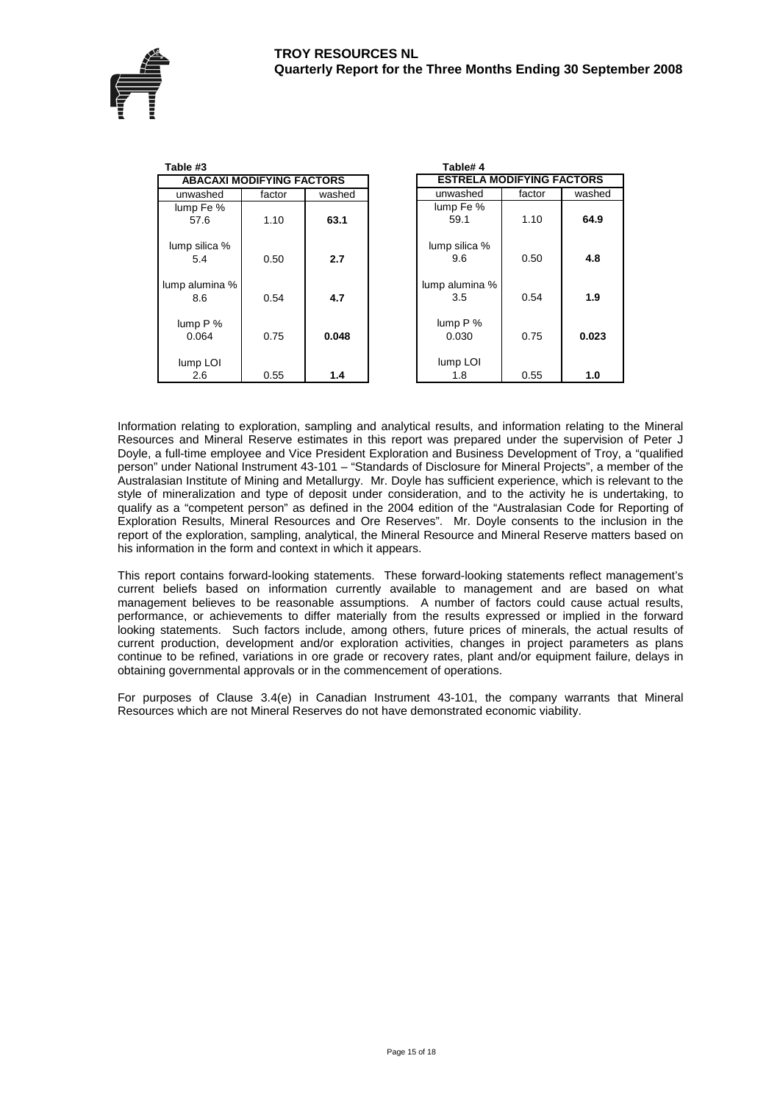

| Table #3              |                                  |        | Table#4                          |        |        |
|-----------------------|----------------------------------|--------|----------------------------------|--------|--------|
|                       | <b>ABACAXI MODIFYING FACTORS</b> |        | <b>ESTRELA MODIFYING FACTORS</b> |        |        |
| unwashed              | factor                           | washed | unwashed                         | factor | washed |
| lump Fe %<br>57.6     | 1.10                             | 63.1   | lump Fe %<br>59.1                | 1.10   | 64.9   |
| lump silica %<br>5.4  | 0.50                             | 2.7    | lump silica %<br>9.6             | 0.50   | 4.8    |
| lump alumina %<br>8.6 | 0.54                             | 4.7    | lump alumina %<br>3.5            | 0.54   | 1.9    |
| lump $P$ %<br>0.064   | 0.75                             | 0.048  | lump $P$ %<br>0.030              | 0.75   | 0.023  |
| lump LOI<br>2.6       | 0.55                             | 1.4    | lump LOI<br>1.8                  | 0.55   | 1.0    |

Information relating to exploration, sampling and analytical results, and information relating to the Mineral Resources and Mineral Reserve estimates in this report was prepared under the supervision of Peter J Doyle, a full-time employee and Vice President Exploration and Business Development of Troy, a "qualified person" under National Instrument 43-101 – "Standards of Disclosure for Mineral Projects", a member of the Australasian Institute of Mining and Metallurgy. Mr. Doyle has sufficient experience, which is relevant to the style of mineralization and type of deposit under consideration, and to the activity he is undertaking, to qualify as a "competent person" as defined in the 2004 edition of the "Australasian Code for Reporting of Exploration Results, Mineral Resources and Ore Reserves". Mr. Doyle consents to the inclusion in the report of the exploration, sampling, analytical, the Mineral Resource and Mineral Reserve matters based on his information in the form and context in which it appears.

This report contains forward-looking statements. These forward-looking statements reflect management's current beliefs based on information currently available to management and are based on what management believes to be reasonable assumptions. A number of factors could cause actual results, performance, or achievements to differ materially from the results expressed or implied in the forward looking statements. Such factors include, among others, future prices of minerals, the actual results of current production, development and/or exploration activities, changes in project parameters as plans continue to be refined, variations in ore grade or recovery rates, plant and/or equipment failure, delays in obtaining governmental approvals or in the commencement of operations.

For purposes of Clause 3.4(e) in Canadian Instrument 43-101, the company warrants that Mineral Resources which are not Mineral Reserves do not have demonstrated economic viability.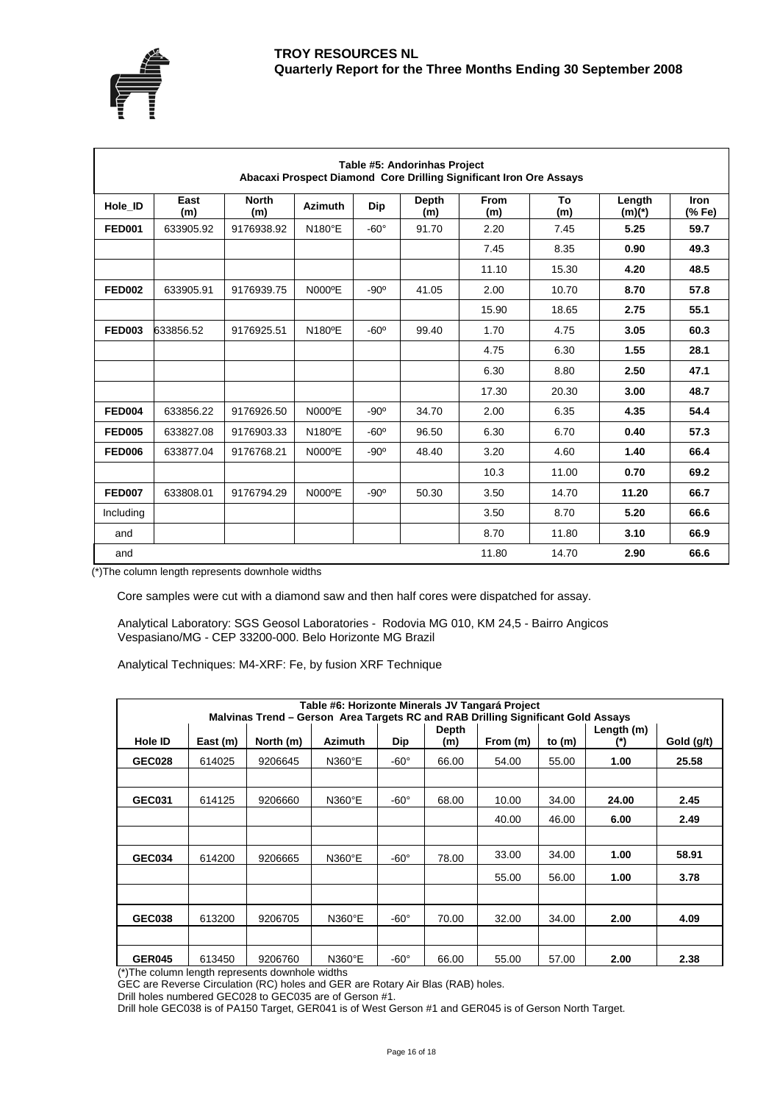



|               | Table #5: Andorinhas Project<br>Abacaxi Prospect Diamond Core Drilling Significant Iron Ore Assays |                     |                |               |              |                    |                  |                    |                       |  |  |  |
|---------------|----------------------------------------------------------------------------------------------------|---------------------|----------------|---------------|--------------|--------------------|------------------|--------------------|-----------------------|--|--|--|
| Hole ID       | East<br>(m)                                                                                        | <b>North</b><br>(m) | <b>Azimuth</b> | Dip           | Depth<br>(m) | <b>From</b><br>(m) | <b>To</b><br>(m) | Length<br>$(m)(*)$ | <b>Iron</b><br>(% Fe) |  |  |  |
| <b>FED001</b> | 633905.92                                                                                          | 9176938.92          | N180°E         | $-60^\circ$   | 91.70        | 2.20               | 7.45             | 5.25               | 59.7                  |  |  |  |
|               |                                                                                                    |                     |                |               |              | 7.45               | 8.35             | 0.90               | 49.3                  |  |  |  |
|               |                                                                                                    |                     |                |               |              | 11.10              | 15.30            | 4.20               | 48.5                  |  |  |  |
| <b>FED002</b> | 633905.91                                                                                          | 9176939.75          | N000°E         | $-90^\circ$   | 41.05        | 2.00               | 10.70            | 8.70               | 57.8                  |  |  |  |
|               |                                                                                                    |                     |                |               |              | 15.90              | 18.65            | 2.75               | 55.1                  |  |  |  |
| <b>FED003</b> | 633856.52                                                                                          | 9176925.51          | N180°E         | $-60^\circ$   | 99.40        | 1.70               | 4.75             | 3.05               | 60.3                  |  |  |  |
|               |                                                                                                    |                     |                |               |              | 4.75               | 6.30             | 1.55               | 28.1                  |  |  |  |
|               |                                                                                                    |                     |                |               |              | 6.30               | 8.80             | 2.50               | 47.1                  |  |  |  |
|               |                                                                                                    |                     |                |               |              | 17.30              | 20.30            | 3.00               | 48.7                  |  |  |  |
| <b>FED004</b> | 633856.22                                                                                          | 9176926.50          | N000°E         | $-90^\circ$   | 34.70        | 2.00               | 6.35             | 4.35               | 54.4                  |  |  |  |
| <b>FED005</b> | 633827.08                                                                                          | 9176903.33          | N180°E         | $-60^{\circ}$ | 96.50        | 6.30               | 6.70             | 0.40               | 57.3                  |  |  |  |
| <b>FED006</b> | 633877.04                                                                                          | 9176768.21          | N000°E         | $-90^\circ$   | 48.40        | 3.20               | 4.60             | 1.40               | 66.4                  |  |  |  |
|               |                                                                                                    |                     |                |               |              | 10.3               | 11.00            | 0.70               | 69.2                  |  |  |  |
| <b>FED007</b> | 633808.01                                                                                          | 9176794.29          | N000°E         | $-90^\circ$   | 50.30        | 3.50               | 14.70            | 11.20              | 66.7                  |  |  |  |
| Including     |                                                                                                    |                     |                |               |              | 3.50               | 8.70             | 5.20               | 66.6                  |  |  |  |
| and           |                                                                                                    |                     |                |               |              | 8.70               | 11.80            | 3.10               | 66.9                  |  |  |  |
| and           |                                                                                                    |                     |                |               |              | 11.80              | 14.70            | 2.90               | 66.6                  |  |  |  |

(\*)The column length represents downhole widths

Core samples were cut with a diamond saw and then half cores were dispatched for assay.

Analytical Laboratory: SGS Geosol Laboratories - Rodovia MG 010, KM 24,5 - Bairro Angicos Vespasiano/MG - CEP 33200-000. Belo Horizonte MG Brazil

Analytical Techniques: M4-XRF: Fe, by fusion XRF Technique

|                      | Table #6: Horizonte Minerals JV Tangará Project<br>Malvinas Trend - Gerson Area Targets RC and RAB Drilling Significant Gold Assays |                                             |                |             |       |          |          |            |            |  |  |  |  |
|----------------------|-------------------------------------------------------------------------------------------------------------------------------------|---------------------------------------------|----------------|-------------|-------|----------|----------|------------|------------|--|--|--|--|
|                      |                                                                                                                                     |                                             |                |             | Depth |          |          | Length (m) |            |  |  |  |  |
| Hole ID              | East (m)                                                                                                                            | North (m)                                   | <b>Azimuth</b> | Dip         | (m)   | From (m) | to $(m)$ |            | Gold (g/t) |  |  |  |  |
| <b>GEC028</b>        | 614025                                                                                                                              | 9206645                                     | N360°E         | $-60^\circ$ | 66.00 | 54.00    | 55.00    | 1.00       | 25.58      |  |  |  |  |
|                      |                                                                                                                                     |                                             |                |             |       |          |          |            |            |  |  |  |  |
| <b>GEC031</b>        | 614125                                                                                                                              | 9206660                                     | N360°E         | $-60^\circ$ | 68.00 | 10.00    | 34.00    | 24.00      | 2.45       |  |  |  |  |
|                      |                                                                                                                                     |                                             |                |             |       | 40.00    | 46.00    | 6.00       | 2.49       |  |  |  |  |
|                      |                                                                                                                                     |                                             |                |             |       |          |          |            |            |  |  |  |  |
| <b>GEC034</b>        | 614200                                                                                                                              | 9206665                                     | N360°E         | $-60^\circ$ | 78.00 | 33.00    | 34.00    | 1.00       | 58.91      |  |  |  |  |
|                      |                                                                                                                                     |                                             |                |             |       | 55.00    | 56.00    | 1.00       | 3.78       |  |  |  |  |
|                      |                                                                                                                                     |                                             |                |             |       |          |          |            |            |  |  |  |  |
| <b>GEC038</b>        | 613200                                                                                                                              | 9206705                                     | N360°E         | $-60^\circ$ | 70.00 | 32.00    | 34.00    | 2.00       | 4.09       |  |  |  |  |
|                      |                                                                                                                                     |                                             |                |             |       |          |          |            |            |  |  |  |  |
| <b>GER045</b><br>(4) | 613450                                                                                                                              | 9206760<br>$\sim$ $\sim$ $\sim$ $\sim$<br>. | N360°E<br>.    | $-60^\circ$ | 66.00 | 55.00    | 57.00    | 2.00       | 2.38       |  |  |  |  |

(\*)The column length represents downhole widths

GEC are Reverse Circulation (RC) holes and GER are Rotary Air Blas (RAB) holes.

Drill holes numbered GEC028 to GEC035 are of Gerson #1.

Drill hole GEC038 is of PA150 Target, GER041 is of West Gerson #1 and GER045 is of Gerson North Target.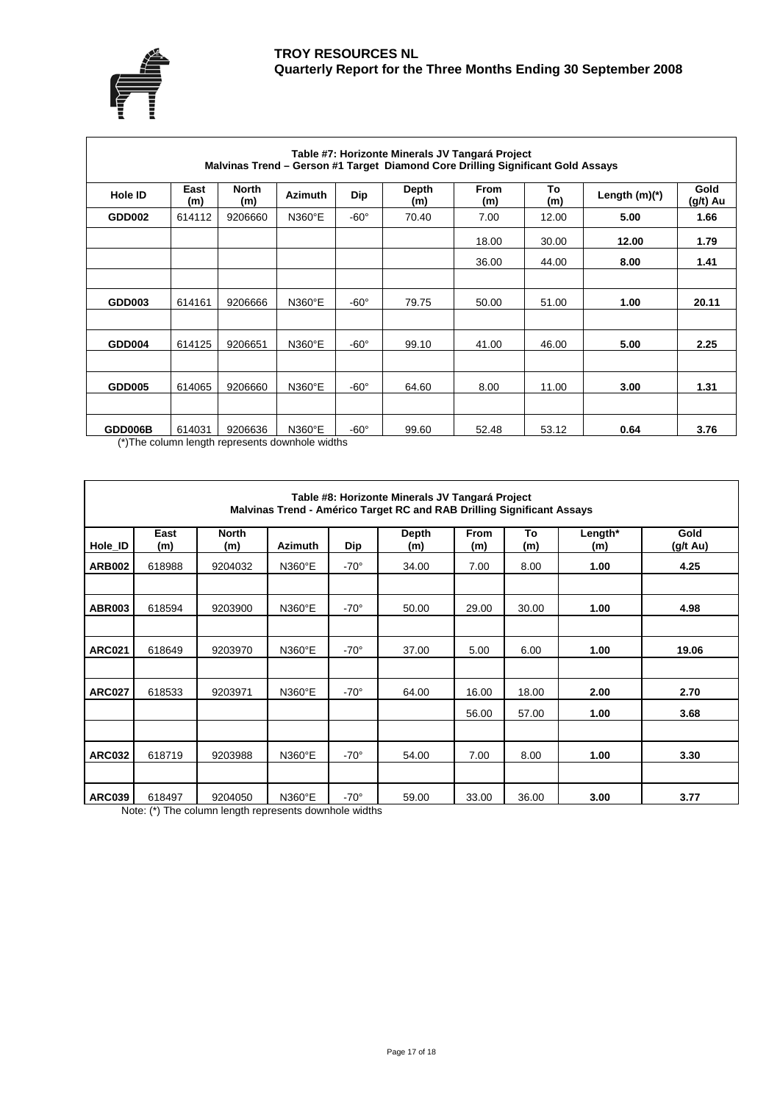



| Table #7: Horizonte Minerals JV Tangará Project<br>Malvinas Trend - Gerson #1 Target Diamond Core Drilling Significant Gold Assays |             |                     |                |             |              |             |           |                 |                  |  |  |  |
|------------------------------------------------------------------------------------------------------------------------------------|-------------|---------------------|----------------|-------------|--------------|-------------|-----------|-----------------|------------------|--|--|--|
| <b>Hole ID</b>                                                                                                                     | East<br>(m) | <b>North</b><br>(m) | <b>Azimuth</b> | <b>Dip</b>  | Depth<br>(m) | From<br>(m) | To<br>(m) | Length $(m)(*)$ | Gold<br>(g/t) Au |  |  |  |
| GDD002                                                                                                                             | 614112      | 9206660             | N360°E         | $-60^\circ$ | 70.40        | 7.00        | 12.00     | 5.00            | 1.66             |  |  |  |
|                                                                                                                                    |             |                     |                |             |              | 18.00       | 30.00     | 12.00           | 1.79             |  |  |  |
|                                                                                                                                    |             |                     |                |             |              | 36.00       | 44.00     | 8.00            | 1.41             |  |  |  |
|                                                                                                                                    |             |                     |                |             |              |             |           |                 |                  |  |  |  |
| <b>GDD003</b>                                                                                                                      | 614161      | 9206666             | N360°E         | $-60^\circ$ | 79.75        | 50.00       | 51.00     | 1.00            | 20.11            |  |  |  |
|                                                                                                                                    |             |                     |                |             |              |             |           |                 |                  |  |  |  |
| GDD004                                                                                                                             | 614125      | 9206651             | N360°E         | $-60^\circ$ | 99.10        | 41.00       | 46.00     | 5.00            | 2.25             |  |  |  |
|                                                                                                                                    |             |                     |                |             |              |             |           |                 |                  |  |  |  |
| <b>GDD005</b>                                                                                                                      | 614065      | 9206660             | N360°E         | $-60^\circ$ | 64.60        | 8.00        | 11.00     | 3.00            | 1.31             |  |  |  |
|                                                                                                                                    |             |                     |                |             |              |             |           |                 |                  |  |  |  |
| GDD006B                                                                                                                            | 614031      | 9206636             | N360°E         | $-60^\circ$ | 99.60        | 52.48       | 53.12     | 0.64            | 3.76             |  |  |  |

(\*)The column length represents downhole widths

|               | Table #8: Horizonte Minerals JV Tangará Project<br>Malvinas Trend - Américo Target RC and RAB Drilling Significant Assays |                     |                |             |              |                    |           |                |                  |  |  |  |  |
|---------------|---------------------------------------------------------------------------------------------------------------------------|---------------------|----------------|-------------|--------------|--------------------|-----------|----------------|------------------|--|--|--|--|
| Hole_ID       | East<br>(m)                                                                                                               | <b>North</b><br>(m) | <b>Azimuth</b> | Dip         | Depth<br>(m) | <b>From</b><br>(m) | To<br>(m) | Length*<br>(m) | Gold<br>(g/t Au) |  |  |  |  |
| <b>ARB002</b> | 618988                                                                                                                    | 9204032             | N360°E         | $-70^\circ$ | 34.00        | 7.00               | 8.00      | 1.00           | 4.25             |  |  |  |  |
|               |                                                                                                                           |                     |                |             |              |                    |           |                |                  |  |  |  |  |
| <b>ABR003</b> | 618594                                                                                                                    | 9203900             | N360°E         | $-70^\circ$ | 50.00        | 29.00              | 30.00     | 1.00           | 4.98             |  |  |  |  |
|               |                                                                                                                           |                     |                |             |              |                    |           |                |                  |  |  |  |  |
| <b>ARC021</b> | 618649                                                                                                                    | 9203970             | N360°E         | $-70^\circ$ | 37.00        | 5.00               | 6.00      | 1.00           | 19.06            |  |  |  |  |
|               |                                                                                                                           |                     |                |             |              |                    |           |                |                  |  |  |  |  |
| <b>ARC027</b> | 618533                                                                                                                    | 9203971             | N360°E         | $-70^\circ$ | 64.00        | 16.00              | 18.00     | 2.00           | 2.70             |  |  |  |  |
|               |                                                                                                                           |                     |                |             |              | 56.00              | 57.00     | 1.00           | 3.68             |  |  |  |  |
|               |                                                                                                                           |                     |                |             |              |                    |           |                |                  |  |  |  |  |
| <b>ARC032</b> | 618719                                                                                                                    | 9203988             | N360°E         | $-70^\circ$ | 54.00        | 7.00               | 8.00      | 1.00           | 3.30             |  |  |  |  |
|               |                                                                                                                           |                     |                |             |              |                    |           |                |                  |  |  |  |  |
| <b>ARC039</b> | 618497                                                                                                                    | 9204050             | N360°E         | $-70^\circ$ | 59.00        | 33.00              | 36.00     | 3.00           | 3.77             |  |  |  |  |

Note: (\*) The column length represents downhole widths